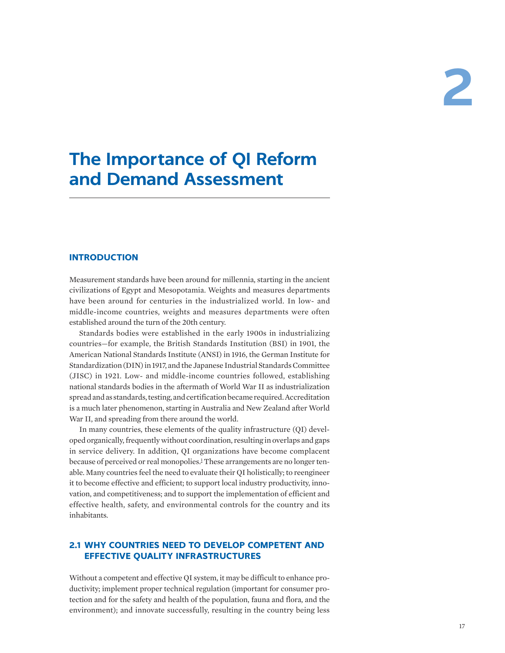# **The Importance of QI Reform and Demand Assessment**

# **INTRODUCTION**

Measurement standards have been around for millennia, starting in the ancient civilizations of Egypt and Mesopotamia. Weights and measures departments have been around for centuries in the industrialized world. In low- and middle-income countries, weights and measures departments were often established around the turn of the 20th century.

Standards bodies were established in the early 1900s in industrializing countries—for example, the British Standards Institution (BSI) in 1901, the American National Standards Institute (ANSI) in 1916, the German Institute for Standardization (DIN) in 1917, and the Japanese Industrial Standards Committee (JISC) in 1921. Low- and middle-income countries followed, establishing national standards bodies in the aftermath of World War II as industrialization spread and as standards, testing, and certification became required. Accreditation is a much later phenomenon, starting in Australia and New Zealand after World War II, and spreading from there around the world.

<span id="page-0-0"></span>In many countries, these elements of the quality infrastructure (QI) developed organically, frequently without coordination, resulting in overlaps and gaps in service delivery. In addition, QI organizations have become complacent because of perceived or real monopolies.<sup>[1](#page-22-0)</sup> These arrangements are no longer tenable. Many countries feel the need to evaluate their QI holistically; to reengineer it to become effective and efficient; to support local industry productivity, innovation, and competitiveness; and to support the implementation of efficient and effective health, safety, and environmental controls for the country and its inhabitants.

# **2.1 WHY COUNTRIES NEED TO DEVELOP COMPETENT AND EFFECTIVE QUALITY INFRASTRUCTURES**

Without a competent and effective QI system, it may be difficult to enhance productivity; implement proper technical regulation (important for consumer protection and for the safety and health of the population, fauna and flora, and the environment); and innovate successfully, resulting in the country being less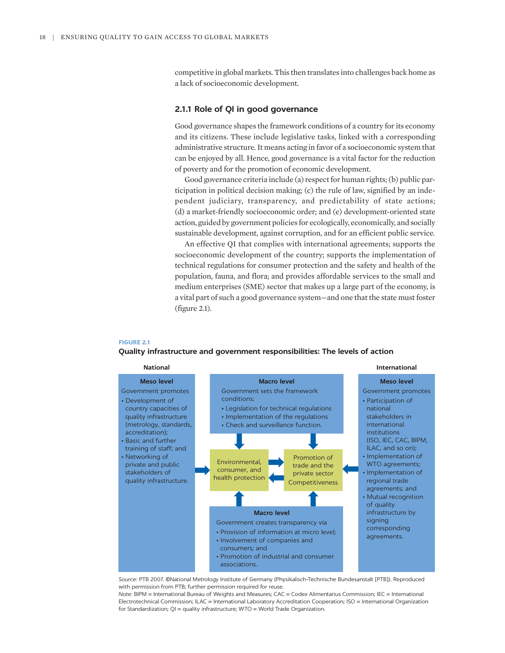competitive in global markets. This then translates into challenges back home as a lack of socioeconomic development.

## **2.1.1 Role of QI in good governance**

Good governance shapes the framework conditions of a country for its economy and its citizens. These include legislative tasks, linked with a corresponding administrative structure. It means acting in favor of a socioeconomic system that can be enjoyed by all. Hence, good governance is a vital factor for the reduction of poverty and for the promotion of economic development.

Good governance criteria include (a) respect for human rights; (b) public participation in political decision making; (c) the rule of law, signified by an independent judiciary, transparency, and predictability of state actions; (d) a market-friendly socioeconomic order; and (e) development-oriented state action, guided by government policies for ecologically, economically, and socially sustainable development, against corruption, and for an efficient public service.

An effective QI that complies with international agreements; supports the socioeconomic development of the country; supports the implementation of technical regulations for consumer protection and the safety and health of the population, fauna, and flora; and provides affordable services to the small and medium enterprises (SME) sector that makes up a large part of the economy, is a vital part of such a good governance system—and one that the state must foster (figure 2.1).

#### **FIGURE 2.1**

#### **Quality infrastructure and government responsibilities: The levels of action**



*Source:* PTB 2007. ©National Metrology Institute of Germany (Physikalisch-Technische Bundesanstalt [PTB]). Reproduced with permission from PTB; further permission required for reuse.

*Note:* BIPM = International Bureau of Weights and Measures; CAC = Codex Alimentarius Commission; IEC = International Electrotechnical Commission; ILAC = International Laboratory Accreditation Cooperation; ISO = International Organization for Standardization; QI = quality infrastructure; WTO = World Trade Organization.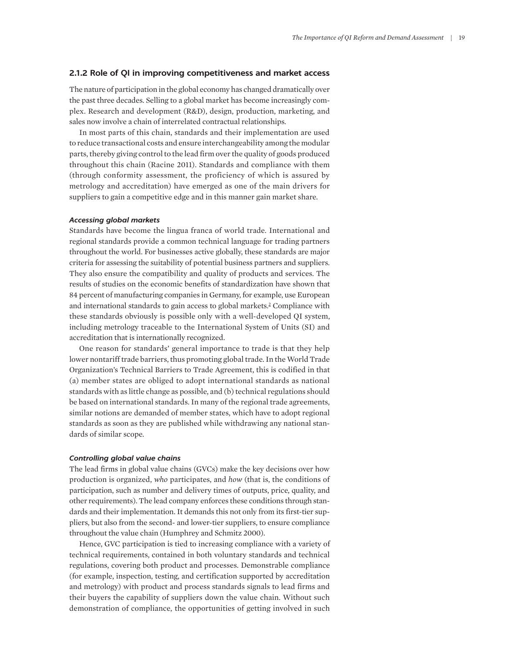## **2.1.2 Role of QI in improving competitiveness and market access**

The nature of participation in the global economy has changed dramatically over the past three decades. Selling to a global market has become increasingly complex. Research and development (R&D), design, production, marketing, and sales now involve a chain of interrelated contractual relationships.

In most parts of this chain, standards and their implementation are used to reduce transactional costs and ensure interchangeability among the modular parts, thereby giving control to the lead firm over the quality of goods produced throughout this chain (Racine 2011). Standards and compliance with them (through conformity assessment, the proficiency of which is assured by metrology and accreditation) have emerged as one of the main drivers for suppliers to gain a competitive edge and in this manner gain market share.

## *Accessing global markets*

Standards have become the lingua franca of world trade. International and regional standards provide a common technical language for trading partners throughout the world. For businesses active globally, these standards are major criteria for assessing the suitability of potential business partners and suppliers. They also ensure the compatibility and quality of products and services. The results of studies on the economic benefits of standardization have shown that 84 percent of manufacturing companies in Germany, for example, use European and international standards to gain access to global markets.<sup>[2](#page-22-1)</sup> Compliance with these standards obviously is possible only with a well-developed QI system, including metrology traceable to the International System of Units (SI) and accreditation that is internationally recognized.

<span id="page-2-0"></span>One reason for standards' general importance to trade is that they help lower nontariff trade barriers, thus promoting global trade. In the World Trade Organization's Technical Barriers to Trade Agreement, this is codified in that (a) member states are obliged to adopt international standards as national standards with as little change as possible, and (b) technical regulations should be based on international standards. In many of the regional trade agreements, similar notions are demanded of member states, which have to adopt regional standards as soon as they are published while withdrawing any national standards of similar scope.

#### *Controlling global value chains*

The lead firms in global value chains (GVCs) make the key decisions over how production is organized, *who* participates, and *how* (that is, the conditions of participation, such as number and delivery times of outputs, price, quality, and other requirements). The lead company enforces these conditions through standards and their implementation. It demands this not only from its first-tier suppliers, but also from the second- and lower-tier suppliers, to ensure compliance throughout the value chain (Humphrey and Schmitz 2000).

Hence, GVC participation is tied to increasing compliance with a variety of technical requirements, contained in both voluntary standards and technical regulations, covering both product and processes. Demonstrable compliance (for example, inspection, testing, and certification supported by accreditation and metrology) with product and process standards signals to lead firms and their buyers the capability of suppliers down the value chain. Without such demonstration of compliance, the opportunities of getting involved in such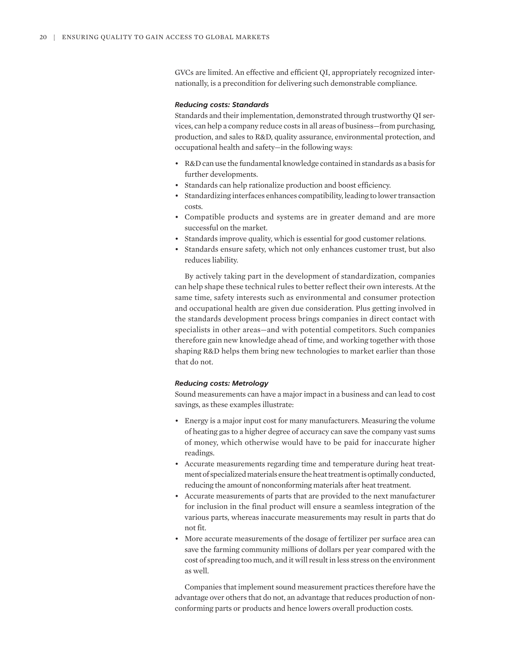GVCs are limited. An effective and efficient QI, appropriately recognized internationally, is a precondition for delivering such demonstrable compliance.

## *Reducing costs: Standards*

Standards and their implementation, demonstrated through trustworthy QI services, can help a company reduce costs in all areas of business—from purchasing, production, and sales to R&D, quality assurance, environmental protection, and occupational health and safety—in the following ways:

- R&D can use the fundamental knowledge contained in standards as a basis for further developments.
- Standards can help rationalize production and boost efficiency.
- Standardizing interfaces enhances compatibility, leading to lower transaction costs.
- Compatible products and systems are in greater demand and are more successful on the market.
- Standards improve quality, which is essential for good customer relations.
- Standards ensure safety, which not only enhances customer trust, but also reduces liability.

By actively taking part in the development of standardization, companies can help shape these technical rules to better reflect their own interests. At the same time, safety interests such as environmental and consumer protection and occupational health are given due consideration. Plus getting involved in the standards development process brings companies in direct contact with specialists in other areas—and with potential competitors. Such companies therefore gain new knowledge ahead of time, and working together with those shaping R&D helps them bring new technologies to market earlier than those that do not.

#### *Reducing costs: Metrology*

Sound measurements can have a major impact in a business and can lead to cost savings, as these examples illustrate:

- Energy is a major input cost for many manufacturers. Measuring the volume of heating gas to a higher degree of accuracy can save the company vast sums of money, which otherwise would have to be paid for inaccurate higher readings.
- Accurate measurements regarding time and temperature during heat treatment of specialized materials ensure the heat treatment is optimally conducted, reducing the amount of nonconforming materials after heat treatment.
- Accurate measurements of parts that are provided to the next manufacturer for inclusion in the final product will ensure a seamless integration of the various parts, whereas inaccurate measurements may result in parts that do not fit.
- More accurate measurements of the dosage of fertilizer per surface area can save the farming community millions of dollars per year compared with the cost of spreading too much, and it will result in less stress on the environment as well.

Companies that implement sound measurement practices therefore have the advantage over others that do not, an advantage that reduces production of nonconforming parts or products and hence lowers overall production costs.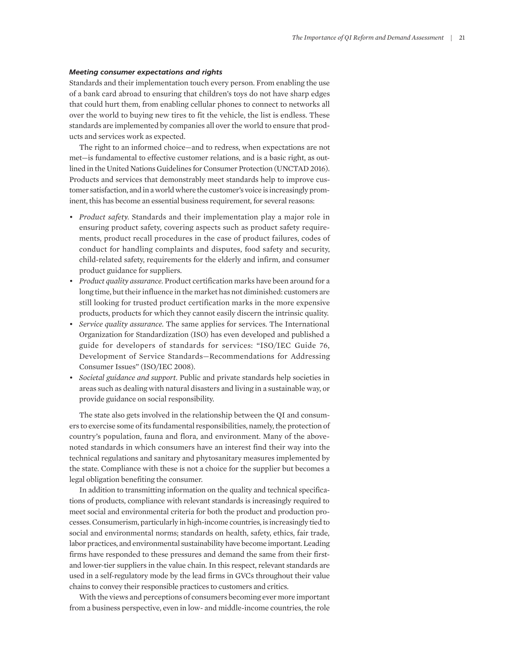## *Meeting consumer expectations and rights*

Standards and their implementation touch every person. From enabling the use of a bank card abroad to ensuring that children's toys do not have sharp edges that could hurt them, from enabling cellular phones to connect to networks all over the world to buying new tires to fit the vehicle, the list is endless. These standards are implemented by companies all over the world to ensure that products and services work as expected.

The right to an informed choice—and to redress, when expectations are not met—is fundamental to effective customer relations, and is a basic right, as outlined in the United Nations Guidelines for Consumer Protection (UNCTAD 2016). Products and services that demonstrably meet standards help to improve customer satisfaction, and in a world where the customer's voice is increasingly prominent, this has become an essential business requirement, for several reasons:

- *Product safety.* Standards and their implementation play a major role in ensuring product safety, covering aspects such as product safety requirements, product recall procedures in the case of product failures, codes of conduct for handling complaints and disputes, food safety and security, child-related safety, requirements for the elderly and infirm, and consumer product guidance for suppliers.
- *Product quality assurance.* Product certification marks have been around for a long time, but their influence in the market has not diminished: customers are still looking for trusted product certification marks in the more expensive products, products for which they cannot easily discern the intrinsic quality.
- *Service quality assurance.* The same applies for services. The International Organization for Standardization (ISO) has even developed and published a guide for developers of standards for services: "ISO/IEC Guide 76, Development of Service Standards—Recommendations for Addressing Consumer Issues" (ISO/IEC 2008).
- *Societal guidance and support.* Public and private standards help societies in areas such as dealing with natural disasters and living in a sustainable way, or provide guidance on social responsibility.

The state also gets involved in the relationship between the QI and consumers to exercise some of its fundamental responsibilities, namely, the protection of country's population, fauna and flora, and environment. Many of the abovenoted standards in which consumers have an interest find their way into the technical regulations and sanitary and phytosanitary measures implemented by the state. Compliance with these is not a choice for the supplier but becomes a legal obligation benefiting the consumer.

In addition to transmitting information on the quality and technical specifications of products, compliance with relevant standards is increasingly required to meet social and environmental criteria for both the product and production processes. Consumerism, particularly in high-income countries, is increasingly tied to social and environmental norms; standards on health, safety, ethics, fair trade, labor practices, and environmental sustainability have become important. Leading firms have responded to these pressures and demand the same from their firstand lower-tier suppliers in the value chain. In this respect, relevant standards are used in a self-regulatory mode by the lead firms in GVCs throughout their value chains to convey their responsible practices to customers and critics.

With the views and perceptions of consumers becoming ever more important from a business perspective, even in low- and middle-income countries, the role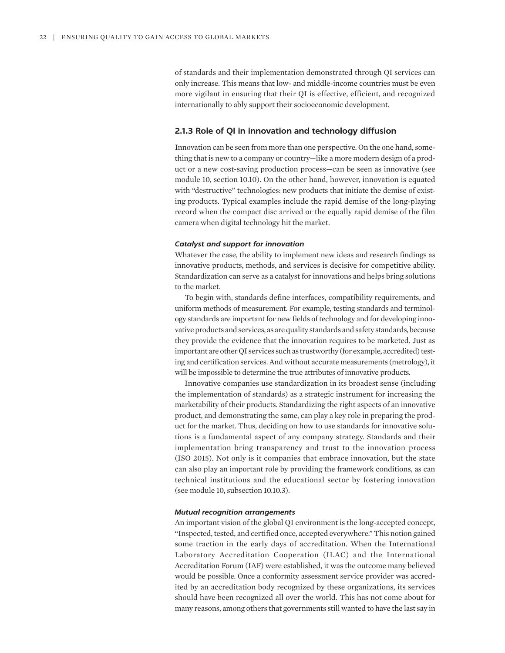of standards and their implementation demonstrated through QI services can only increase. This means that low- and middle-income countries must be even more vigilant in ensuring that their QI is effective, efficient, and recognized internationally to ably support their socioeconomic development.

## **2.1.3 Role of QI in innovation and technology diffusion**

Innovation can be seen from more than one perspective. On the one hand, something that is new to a company or country—like a more modern design of a product or a new cost-saving production process—can be seen as innovative (see module 10, section 10.10). On the other hand, however, innovation is equated with "destructive" technologies: new products that initiate the demise of existing products. Typical examples include the rapid demise of the long-playing record when the compact disc arrived or the equally rapid demise of the film camera when digital technology hit the market.

## *Catalyst and support for innovation*

Whatever the case, the ability to implement new ideas and research findings as innovative products, methods, and services is decisive for competitive ability. Standardization can serve as a catalyst for innovations and helps bring solutions to the market.

To begin with, standards define interfaces, compatibility requirements, and uniform methods of measurement. For example, testing standards and terminology standards are important for new fields of technology and for developing innovative products and services, as are quality standards and safety standards, because they provide the evidence that the innovation requires to be marketed. Just as important are other QI services such as trustworthy (for example, accredited) testing and certification services. And without accurate measurements (metrology), it will be impossible to determine the true attributes of innovative products.

Innovative companies use standardization in its broadest sense (including the implementation of standards) as a strategic instrument for increasing the marketability of their products. Standardizing the right aspects of an innovative product, and demonstrating the same, can play a key role in preparing the product for the market. Thus, deciding on how to use standards for innovative solutions is a fundamental aspect of any company strategy. Standards and their implementation bring transparency and trust to the innovation process (ISO 2015). Not only is it companies that embrace innovation, but the state can also play an important role by providing the framework conditions, as can technical institutions and the educational sector by fostering innovation (see module 10, subsection 10.10.3).

## *Mutual recognition arrangements*

An important vision of the global QI environment is the long-accepted concept, "Inspected, tested, and certified once, accepted everywhere." This notion gained some traction in the early days of accreditation. When the International Laboratory Accreditation Cooperation (ILAC) and the International Accreditation Forum (IAF) were established, it was the outcome many believed would be possible. Once a conformity assessment service provider was accredited by an accreditation body recognized by these organizations, its services should have been recognized all over the world. This has not come about for many reasons, among others that governments still wanted to have the last say in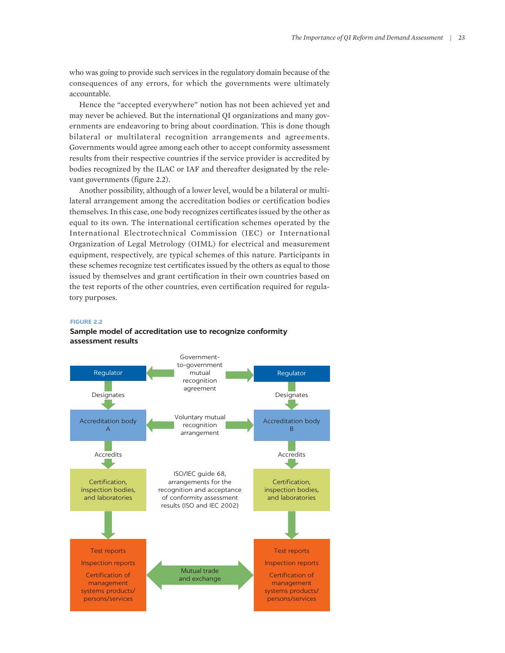who was going to provide such services in the regulatory domain because of the consequences of any errors, for which the governments were ultimately accountable.

Hence the "accepted everywhere" notion has not been achieved yet and may never be achieved. But the international QI organizations and many governments are endeavoring to bring about coordination. This is done though bilateral or multilateral recognition arrangements and agreements. Governments would agree among each other to accept conformity assessment results from their respective countries if the service provider is accredited by bodies recognized by the ILAC or IAF and thereafter designated by the relevant governments (figure 2.2).

Another possibility, although of a lower level, would be a bilateral or multilateral arrangement among the accreditation bodies or certification bodies themselves. In this case, one body recognizes certificates issued by the other as equal to its own. The international certification schemes operated by the International Electrotechnical Commission (IEC) or International Organization of Legal Metrology (OIML) for electrical and measurement equipment, respectively, are typical schemes of this nature. Participants in these schemes recognize test certificates issued by the others as equal to those issued by themselves and grant certification in their own countries based on the test reports of the other countries, even certification required for regulatory purposes.

#### **FIGURE 2.2**

## **Sample model of accreditation use to recognize conformity assessment results**

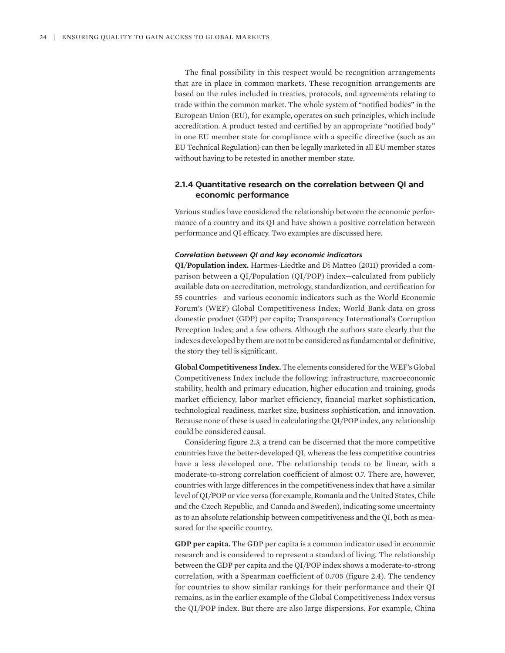The final possibility in this respect would be recognition arrangements that are in place in common markets. These recognition arrangements are based on the rules included in treaties, protocols, and agreements relating to trade within the common market. The whole system of "notified bodies" in the European Union (EU), for example, operates on such principles, which include accreditation. A product tested and certified by an appropriate "notified body" in one EU member state for compliance with a specific directive (such as an EU Technical Regulation) can then be legally marketed in all EU member states without having to be retested in another member state.

# **2.1.4 Quantitative research on the correlation between QI and economic performance**

Various studies have considered the relationship between the economic performance of a country and its QI and have shown a positive correlation between performance and QI efficacy. Two examples are discussed here.

## *Correlation between QI and key economic indicators*

**QI/Population index.** Harmes-Liedtke and Di Matteo (2011) provided a comparison between a QI/Population (QI/POP) index—calculated from publicly available data on accreditation, metrology, standardization, and certification for 55 countries—and various economic indicators such as the World Economic Forum's (WEF) Global Competitiveness Index; World Bank data on gross domestic product (GDP) per capita; Transparency International's Corruption Perception Index; and a few others. Although the authors state clearly that the indexes developed by them are not to be considered as fundamental or definitive, the story they tell is significant.

**Global Competitiveness Index.** The elements considered for the WEF's Global Competitiveness Index include the following: infrastructure, macroeconomic stability, health and primary education, higher education and training, goods market efficiency, labor market efficiency, financial market sophistication, technological readiness, market size, business sophistication, and innovation. Because none of these is used in calculating the QI/POP index, any relationship could be considered causal.

Considering figure 2.3, a trend can be discerned that the more competitive countries have the better-developed QI, whereas the less competitive countries have a less developed one. The relationship tends to be linear, with a moderate-to-strong correlation coefficient of almost 0.7. There are, however, countries with large differences in the competitiveness index that have a similar level of QI/POP or vice versa (for example, Romania and the United States, Chile and the Czech Republic, and Canada and Sweden), indicating some uncertainty as to an absolute relationship between competitiveness and the QI, both as measured for the specific country.

**GDP per capita.** The GDP per capita is a common indicator used in economic research and is considered to represent a standard of living. The relationship between the GDP per capita and the QI/POP index shows a moderate-to-strong correlation, with a Spearman coefficient of 0.705 (figure 2.4). The tendency for countries to show similar rankings for their performance and their QI remains, as in the earlier example of the Global Competitiveness Index versus the QI/POP index. But there are also large dispersions. For example, China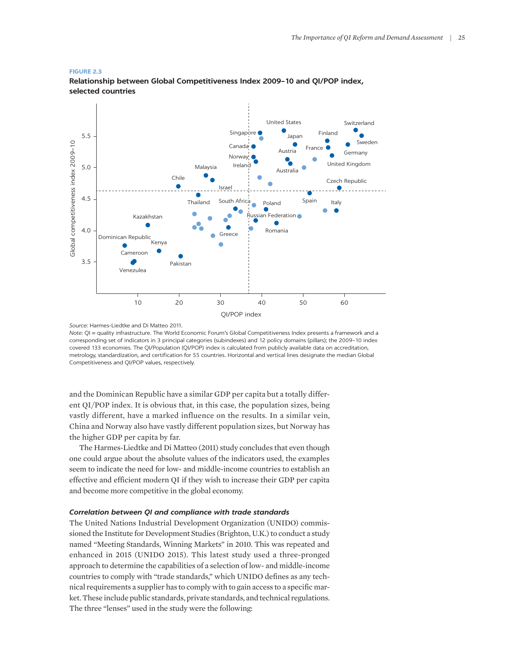#### **FIGURE 2.3**



**Relationship between Global Competitiveness Index 2009–10 and QI/POP index, selected countries**

*Note:* QI = quality infrastructure. The World Economic Forum's Global Competitiveness Index presents a framework and a corresponding set of indicators in 3 principal categories (subindexes) and 12 policy domains (pillars); the 2009–10 index covered 133 economies. The QI/Population (QI/POP) index is calculated from publicly available data on accreditation, metrology, standardization, and certification for 55 countries. Horizontal and vertical lines designate the median Global Competitiveness and QI/POP values, respectively.

and the Dominican Republic have a similar GDP per capita but a totally different QI/POP index. It is obvious that, in this case, the population sizes, being vastly different, have a marked influence on the results. In a similar vein, China and Norway also have vastly different population sizes, but Norway has the higher GDP per capita by far.

The Harmes-Liedtke and Di Matteo (2011) study concludes that even though one could argue about the absolute values of the indicators used, the examples seem to indicate the need for low- and middle-income countries to establish an effective and efficient modern QI if they wish to increase their GDP per capita and become more competitive in the global economy.

## *Correlation between QI and compliance with trade standards*

The United Nations Industrial Development Organization (UNIDO) commissioned the Institute for Development Studies (Brighton, U.K.) to conduct a study named "Meeting Standards, Winning Markets" in 2010. This was repeated and enhanced in 2015 (UNIDO 2015). This latest study used a three-pronged approach to determine the capabilities of a selection of low- and middle-income countries to comply with "trade standards," which UNIDO defines as any technical requirements a supplier has to comply with to gain access to a specific market. These include public standards, private standards, and technical regulations. The three "lenses" used in the study were the following:

*Source:* Harmes-Liedtke and Di Matteo 2011.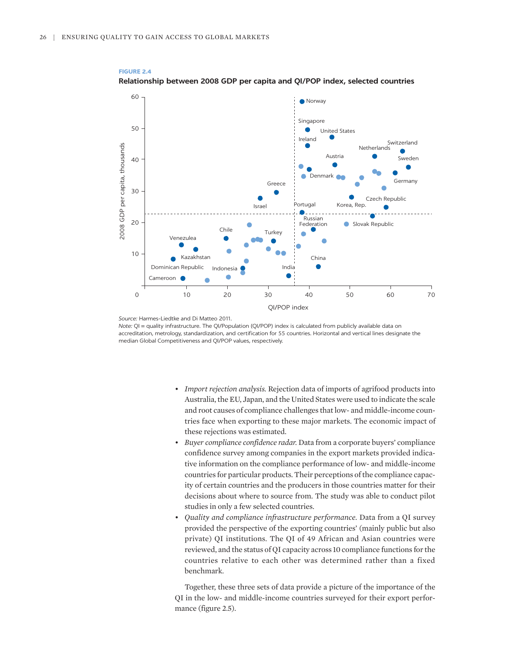

## **FIGURE 2.4 Relationship between 2008 GDP per capita and QI/POP index, selected countries**

*Source:* Harmes-Liedtke and Di Matteo 2011.

*Note:* QI = quality infrastructure. The QI/Population (QI/POP) index is calculated from publicly available data on accreditation, metrology, standardization, and certification for 55 countries. Horizontal and vertical lines designate the median Global Competitiveness and QI/POP values, respectively.

- *Import rejection analysis.* Rejection data of imports of agrifood products into Australia, the EU, Japan, and the United States were used to indicate the scale and root causes of compliance challenges that low- and middle-income countries face when exporting to these major markets. The economic impact of these rejections was estimated.
- *Buyer compliance confidence radar.* Data from a corporate buyers' compliance confidence survey among companies in the export markets provided indicative information on the compliance performance of low- and middle-income countries for particular products. Their perceptions of the compliance capacity of certain countries and the producers in those countries matter for their decisions about where to source from. The study was able to conduct pilot studies in only a few selected countries.
- *Quality and compliance infrastructure performance.* Data from a QI survey provided the perspective of the exporting countries' (mainly public but also private) QI institutions. The QI of 49 African and Asian countries were reviewed, and the status of QI capacity across 10 compliance functions for the countries relative to each other was determined rather than a fixed benchmark.

Together, these three sets of data provide a picture of the importance of the QI in the low- and middle-income countries surveyed for their export performance (figure 2.5).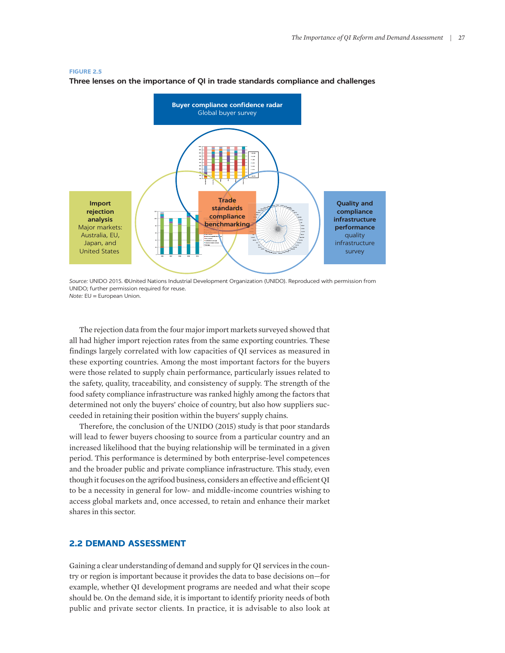#### **FIGURE 2.5**



**Three lenses on the importance of QI in trade standards compliance and challenges**

*Source:* UNIDO 2015. ©United Nations Industrial Development Organization (UNIDO). Reproduced with permission from UNIDO; further permission required for reuse. *Note:* EU = European Union.

The rejection data from the four major import markets surveyed showed that all had higher import rejection rates from the same exporting countries. These findings largely correlated with low capacities of QI services as measured in these exporting countries. Among the most important factors for the buyers were those related to supply chain performance, particularly issues related to the safety, quality, traceability, and consistency of supply. The strength of the food safety compliance infrastructure was ranked highly among the factors that determined not only the buyers' choice of country, but also how suppliers succeeded in retaining their position within the buyers' supply chains.

Therefore, the conclusion of the UNIDO (2015) study is that poor standards will lead to fewer buyers choosing to source from a particular country and an increased likelihood that the buying relationship will be terminated in a given period. This performance is determined by both enterprise-level competences and the broader public and private compliance infrastructure. This study, even though it focuses on the agrifood business, considers an effective and efficient QI to be a necessity in general for low- and middle-income countries wishing to access global markets and, once accessed, to retain and enhance their market shares in this sector.

# **2.2 DEMAND ASSESSMENT**

Gaining a clear understanding of demand and supply for QI services in the country or region is important because it provides the data to base decisions on—for example, whether QI development programs are needed and what their scope should be. On the demand side, it is important to identify priority needs of both public and private sector clients. In practice, it is advisable to also look at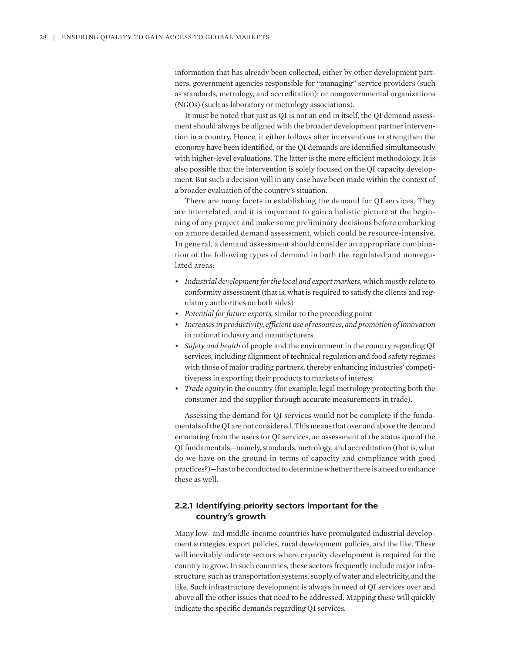information that has already been collected, either by other development partners; government agencies responsible for "managing" service providers (such as standards, metrology, and accreditation); or nongovernmental organizations (NGOs) (such as laboratory or metrology associations).

It must be noted that just as QI is not an end in itself, the QI demand assessment should always be aligned with the broader development partner intervention in a country. Hence, it either follows after interventions to strengthen the economy have been identified, or the QI demands are identified simultaneously with higher-level evaluations. The latter is the more efficient methodology. It is also possible that the intervention is solely focused on the QI capacity development. But such a decision will in any case have been made within the context of a broader evaluation of the country's situation.

There are many facets in establishing the demand for QI services. They are interrelated, and it is important to gain a holistic picture at the beginning of any project and make some preliminary decisions before embarking on a more detailed demand assessment, which could be resource-intensive. In general, a demand assessment should consider an appropriate combination of the following types of demand in both the regulated and nonregulated areas:

- *Industrial development for the local and export markets*, which mostly relate to conformity assessment (that is, what is required to satisfy the clients and regulatory authorities on both sides)
- *Potential for future exports,* similar to the preceding point
- *Increases in productivity, efficient use of resources, and promotion of innovation* in national industry and manufacturers
- *Safety and health* of people and the environment in the country regarding QI services, including alignment of technical regulation and food safety regimes with those of major trading partners, thereby enhancing industries' competitiveness in exporting their products to markets of interest
- *Trade equity* in the country (for example, legal metrology protecting both the consumer and the supplier through accurate measurements in trade).

Assessing the demand for QI services would not be complete if the fundamentals of the QI are not considered. This means that over and above the demand emanating from the users for QI services, an assessment of the status quo of the QI fundamentals—namely, standards, metrology, and accreditation (that is, what do we have on the ground in terms of capacity and compliance with good practices?)—has to be conducted to determine whether there is a need to enhance these as well.

# **2.2.1 Identifying priority sectors important for the country's growth**

Many low- and middle-income countries have promulgated industrial development strategies, export policies, rural development policies, and the like. These will inevitably indicate sectors where capacity development is required for the country to grow. In such countries, these sectors frequently include major infrastructure, such as transportation systems, supply of water and electricity, and the like. Such infrastructure development is always in need of QI services over and above all the other issues that need to be addressed. Mapping these will quickly indicate the specific demands regarding QI services.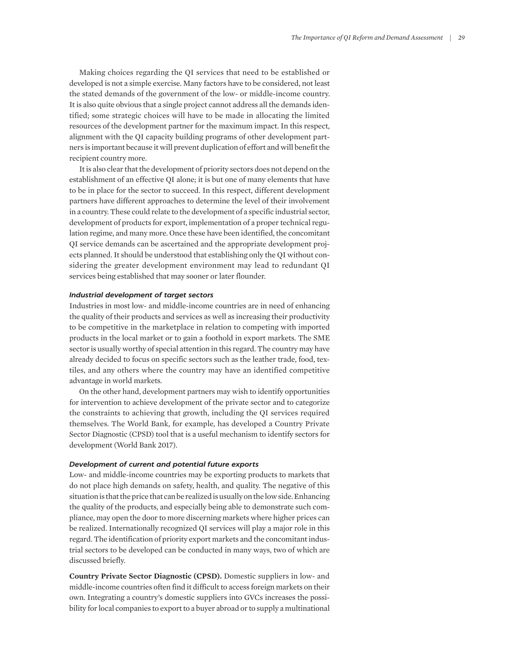Making choices regarding the QI services that need to be established or developed is not a simple exercise. Many factors have to be considered, not least the stated demands of the government of the low- or middle-income country. It is also quite obvious that a single project cannot address all the demands identified; some strategic choices will have to be made in allocating the limited resources of the development partner for the maximum impact. In this respect, alignment with the QI capacity building programs of other development partners is important because it will prevent duplication of effort and will benefit the recipient country more.

It is also clear that the development of priority sectors does not depend on the establishment of an effective QI alone; it is but one of many elements that have to be in place for the sector to succeed. In this respect, different development partners have different approaches to determine the level of their involvement in a country. These could relate to the development of a specific industrial sector, development of products for export, implementation of a proper technical regulation regime, and many more. Once these have been identified, the concomitant QI service demands can be ascertained and the appropriate development projects planned. It should be understood that establishing only the QI without considering the greater development environment may lead to redundant QI services being established that may sooner or later flounder.

## *Industrial development of target sectors*

Industries in most low- and middle-income countries are in need of enhancing the quality of their products and services as well as increasing their productivity to be competitive in the marketplace in relation to competing with imported products in the local market or to gain a foothold in export markets. The SME sector is usually worthy of special attention in this regard. The country may have already decided to focus on specific sectors such as the leather trade, food, textiles, and any others where the country may have an identified competitive advantage in world markets.

On the other hand, development partners may wish to identify opportunities for intervention to achieve development of the private sector and to categorize the constraints to achieving that growth, including the QI services required themselves. The World Bank, for example, has developed a Country Private Sector Diagnostic (CPSD) tool that is a useful mechanism to identify sectors for development (World Bank 2017).

## *Development of current and potential future exports*

Low- and middle-income countries may be exporting products to markets that do not place high demands on safety, health, and quality. The negative of this situation is that the price that can be realized is usually on the low side. Enhancing the quality of the products, and especially being able to demonstrate such compliance, may open the door to more discerning markets where higher prices can be realized. Internationally recognized QI services will play a major role in this regard. The identification of priority export markets and the concomitant industrial sectors to be developed can be conducted in many ways, two of which are discussed briefly.

**Country Private Sector Diagnostic (CPSD).** Domestic suppliers in low- and middle-income countries often find it difficult to access foreign markets on their own. Integrating a country's domestic suppliers into GVCs increases the possibility for local companies to export to a buyer abroad or to supply a multinational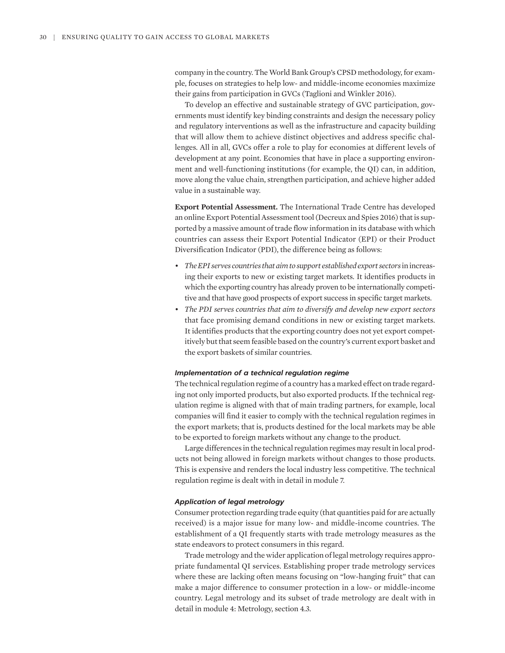company in the country. The World Bank Group's CPSD methodology, for example, focuses on strategies to help low- and middle-income economies maximize their gains from participation in GVCs (Taglioni and Winkler 2016).

To develop an effective and sustainable strategy of GVC participation, governments must identify key binding constraints and design the necessary policy and regulatory interventions as well as the infrastructure and capacity building that will allow them to achieve distinct objectives and address specific challenges. All in all, GVCs offer a role to play for economies at different levels of development at any point. Economies that have in place a supporting environment and well-functioning institutions (for example, the QI) can, in addition, move along the value chain, strengthen participation, and achieve higher added value in a sustainable way.

**Export Potential Assessment.** The International Trade Centre has developed an online Export Potential Assessment tool (Decreux and Spies 2016) that is supported by a massive amount of trade flow information in its database with which countries can assess their Export Potential Indicator (EPI) or their Product Diversification Indicator (PDI), the difference being as follows:

- *The EPI serves countries that aim to support established export sectors* in increasing their exports to new or existing target markets. It identifies products in which the exporting country has already proven to be internationally competitive and that have good prospects of export success in specific target markets.
- *The PDI serves countries that aim to diversify and develop new export sectors* that face promising demand conditions in new or existing target markets. It identifies products that the exporting country does not yet export competitively but that seem feasible based on the country's current export basket and the export baskets of similar countries.

#### *Implementation of a technical regulation regime*

The technical regulation regime of a country has a marked effect on trade regarding not only imported products, but also exported products. If the technical regulation regime is aligned with that of main trading partners, for example, local companies will find it easier to comply with the technical regulation regimes in the export markets; that is, products destined for the local markets may be able to be exported to foreign markets without any change to the product.

Large differences in the technical regulation regimes may result in local products not being allowed in foreign markets without changes to those products. This is expensive and renders the local industry less competitive. The technical regulation regime is dealt with in detail in module 7.

## *Application of legal metrology*

Consumer protection regarding trade equity (that quantities paid for are actually received) is a major issue for many low- and middle-income countries. The establishment of a QI frequently starts with trade metrology measures as the state endeavors to protect consumers in this regard.

Trade metrology and the wider application of legal metrology requires appropriate fundamental QI services. Establishing proper trade metrology services where these are lacking often means focusing on "low-hanging fruit" that can make a major difference to consumer protection in a low- or middle-income country. Legal metrology and its subset of trade metrology are dealt with in detail in module 4: Metrology, section 4.3.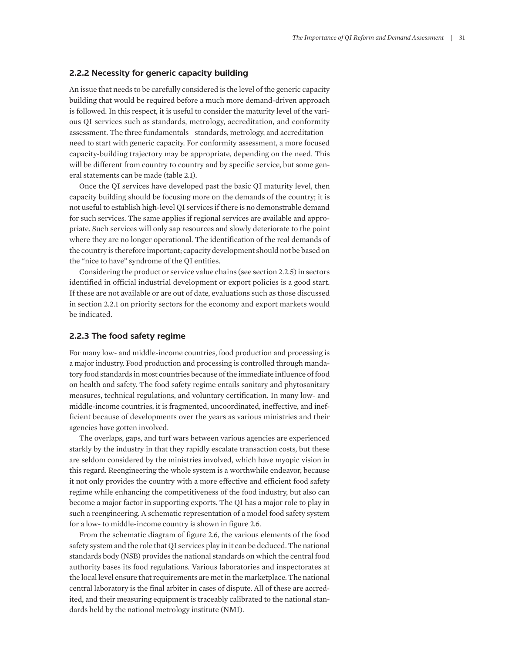## **2.2.2 Necessity for generic capacity building**

An issue that needs to be carefully considered is the level of the generic capacity building that would be required before a much more demand-driven approach is followed. In this respect, it is useful to consider the maturity level of the various QI services such as standards, metrology, accreditation, and conformity assessment. The three fundamentals—standards, metrology, and accreditation need to start with generic capacity. For conformity assessment, a more focused capacity-building trajectory may be appropriate, depending on the need. This will be different from country to country and by specific service, but some general statements can be made (table 2.1).

Once the QI services have developed past the basic QI maturity level, then capacity building should be focusing more on the demands of the country; it is not useful to establish high-level QI services if there is no demonstrable demand for such services. The same applies if regional services are available and appropriate. Such services will only sap resources and slowly deteriorate to the point where they are no longer operational. The identification of the real demands of the country is therefore important; capacity development should not be based on the "nice to have" syndrome of the QI entities.

Considering the product or service value chains (see section 2.2.5) in sectors identified in official industrial development or export policies is a good start. If these are not available or are out of date, evaluations such as those discussed in section 2.2.1 on priority sectors for the economy and export markets would be indicated.

## **2.2.3 The food safety regime**

For many low- and middle-income countries, food production and processing is a major industry. Food production and processing is controlled through mandatory food standards in most countries because of the immediate influence of food on health and safety. The food safety regime entails sanitary and phytosanitary measures, technical regulations, and voluntary certification. In many low- and middle-income countries, it is fragmented, uncoordinated, ineffective, and inefficient because of developments over the years as various ministries and their agencies have gotten involved.

The overlaps, gaps, and turf wars between various agencies are experienced starkly by the industry in that they rapidly escalate transaction costs, but these are seldom considered by the ministries involved, which have myopic vision in this regard. Reengineering the whole system is a worthwhile endeavor, because it not only provides the country with a more effective and efficient food safety regime while enhancing the competitiveness of the food industry, but also can become a major factor in supporting exports. The QI has a major role to play in such a reengineering. A schematic representation of a model food safety system for a low- to middle-income country is shown in figure 2.6.

From the schematic diagram of figure 2.6, the various elements of the food safety system and the role that QI services play in it can be deduced. The national standards body (NSB) provides the national standards on which the central food authority bases its food regulations. Various laboratories and inspectorates at the local level ensure that requirements are met in the marketplace. The national central laboratory is the final arbiter in cases of dispute. All of these are accredited, and their measuring equipment is traceably calibrated to the national standards held by the national metrology institute (NMI).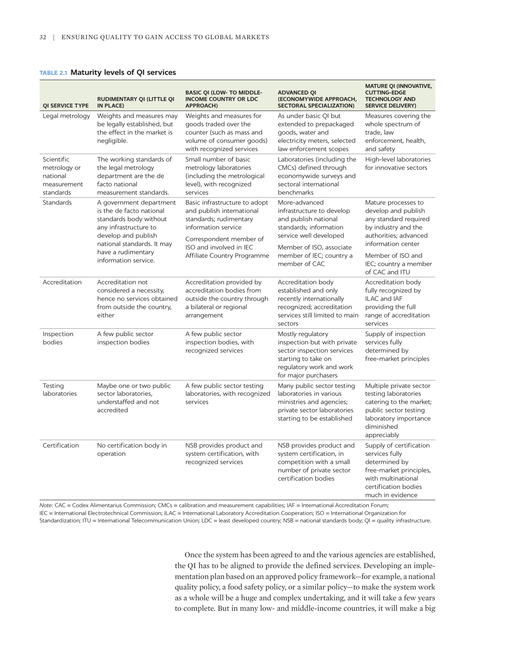## **TABLE 2.1 Maturity levels of QI services**

| <b>QI SERVICE TYPE</b>                                             | RUDIMENTARY QI (LITTLE QI<br>IN PLACE)                                                                                                                                                                    | <b>BASIC QI (LOW- TO MIDDLE-</b><br><b>INCOME COUNTRY OR LDC</b><br><b>APPROACH)</b>                                                                              | <b>ADVANCED QI</b><br>(ECONOMYWIDE APPROACH,<br><b>SECTORAL SPECIALIZATION)</b>                                                                                                                 | <b>MATURE QI (INNOVATIVE,</b><br><b>CUTTING-EDGE</b><br><b>TECHNOLOGY AND</b><br><b>SERVICE DELIVERY)</b>                                                 |
|--------------------------------------------------------------------|-----------------------------------------------------------------------------------------------------------------------------------------------------------------------------------------------------------|-------------------------------------------------------------------------------------------------------------------------------------------------------------------|-------------------------------------------------------------------------------------------------------------------------------------------------------------------------------------------------|-----------------------------------------------------------------------------------------------------------------------------------------------------------|
| Legal metrology                                                    | Weights and measures may<br>be legally established, but<br>the effect in the market is<br>negligible.                                                                                                     | Weights and measures for<br>goods traded over the<br>counter (such as mass and<br>volume of consumer goods)<br>with recognized services                           | As under basic QI but<br>extended to prepackaged<br>goods, water and<br>electricity meters, selected<br>law enforcement scopes                                                                  | Measures covering the<br>whole spectrum of<br>trade, law<br>enforcement, health,<br>and safety                                                            |
| Scientific<br>metrology or<br>national<br>measurement<br>standards | The working standards of<br>the legal metrology<br>department are the de<br>facto national<br>measurement standards.                                                                                      | Small number of basic<br>metrology laboratories<br>(including the metrological<br>level), with recognized<br>services                                             | Laboratories (including the<br>CMCs) defined through<br>economywide surveys and<br>sectoral international<br>benchmarks                                                                         | High-level laboratories<br>for innovative sectors                                                                                                         |
| <b>Standards</b>                                                   | A government department<br>is the de facto national<br>standards body without<br>any infrastructure to<br>develop and publish<br>national standards. It may<br>have a rudimentary<br>information service. | Basic infrastructure to adopt<br>and publish international<br>standards; rudimentary<br>information service<br>Correspondent member of<br>ISO and involved in IEC | More-advanced<br>infrastructure to develop<br>and publish national<br>standards: information<br>service well developed<br>Member of ISO, associate<br>member of IEC; country a<br>member of CAC | Mature processes to<br>develop and publish<br>any standard required<br>by industry and the<br>authorities; advanced<br>information center                 |
|                                                                    |                                                                                                                                                                                                           | Affiliate Country Programme                                                                                                                                       |                                                                                                                                                                                                 | Member of ISO and<br>IEC; country a member<br>of CAC and ITU                                                                                              |
| Accreditation                                                      | Accreditation not<br>considered a necessity,<br>hence no services obtained<br>from outside the country,<br>either                                                                                         | Accreditation provided by<br>accreditation bodies from<br>outside the country through<br>a bilateral or regional<br>arrangement                                   | Accreditation body<br>established and only<br>recently internationally<br>recognized; accreditation<br>services still limited to main<br>sectors                                                | Accreditation body<br>fully recognized by<br>ILAC and IAF<br>providing the full<br>range of accreditation<br>services                                     |
| Inspection<br>bodies                                               | A few public sector<br>inspection bodies                                                                                                                                                                  | A few public sector<br>inspection bodies, with<br>recognized services                                                                                             | Mostly regulatory<br>inspection but with private<br>sector inspection services<br>starting to take on<br>regulatory work and work<br>for major purchasers                                       | Supply of inspection<br>services fully<br>determined by<br>free-market principles                                                                         |
| Testing<br>laboratories                                            | Maybe one or two public<br>sector laboratories.<br>understaffed and not<br>accredited                                                                                                                     | A few public sector testing<br>laboratories, with recognized<br>services                                                                                          | Many public sector testing<br>laboratories in various<br>ministries and agencies;<br>private sector laboratories<br>starting to be established                                                  | Multiple private sector<br>testing laboratories<br>catering to the market;<br>public sector testing<br>laboratory importance<br>diminished<br>appreciably |
| Certification                                                      | No certification body in<br>operation                                                                                                                                                                     | NSB provides product and<br>system certification, with<br>recognized services                                                                                     | NSB provides product and<br>system certification, in<br>competition with a small<br>number of private sector<br>certification bodies                                                            | Supply of certification<br>services fully<br>determined by<br>free-market principles,<br>with multinational<br>certification bodies<br>much in evidence   |

*Note:* CAC = Codex Alimentarius Commission; CMCs = calibration and measurement capabilities; IAF = International Accreditation Forum; IEC = International Electrotechnical Commission; ILAC = International Laboratory Accreditation Cooperation; ISO = International Organization for Standardization; ITU = International Telecommunication Union; LDC = least developed country; NSB = national standards body; QI = quality infrastructure.

> Once the system has been agreed to and the various agencies are established, the QI has to be aligned to provide the defined services. Developing an implementation plan based on an approved policy framework—for example, a national quality policy, a food safety policy, or a similar policy—to make the system work as a whole will be a huge and complex undertaking, and it will take a few years to complete. But in many low- and middle-income countries, it will make a big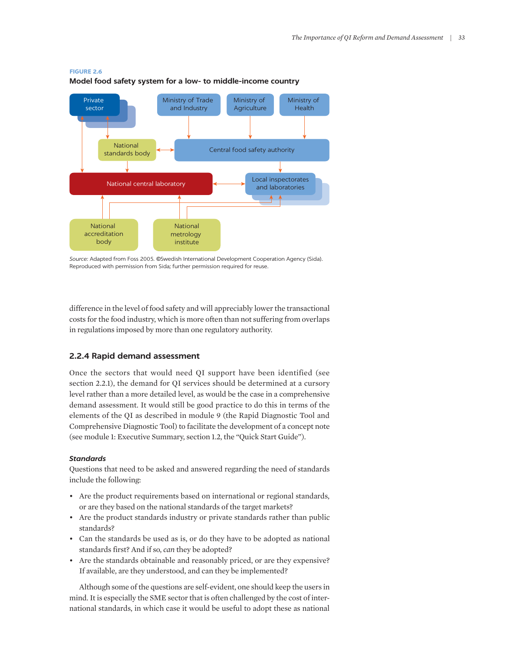#### **FIGURE 2.6**

Ministry of Trade and Industry Ministry of Agriculture Ministry of Health Central food safety authority Local inspectorates National central laboratory and laboratories National standards body Private sector National accreditation body National metrology institute

**Model food safety system for a low- to middle-income country**

*Source:* Adapted from Foss 2005. ©Swedish International Development Cooperation Agency (Sida). Reproduced with permission from Sida; further permission required for reuse.

difference in the level of food safety and will appreciably lower the transactional costs for the food industry, which is more often than not suffering from overlaps in regulations imposed by more than one regulatory authority.

## **2.2.4 Rapid demand assessment**

Once the sectors that would need QI support have been identified (see section 2.2.1), the demand for QI services should be determined at a cursory level rather than a more detailed level, as would be the case in a comprehensive demand assessment. It would still be good practice to do this in terms of the elements of the QI as described in module 9 (the Rapid Diagnostic Tool and Comprehensive Diagnostic Tool) to facilitate the development of a concept note (see module 1: Executive Summary, section 1.2, the "Quick Start Guide").

#### *Standards*

Questions that need to be asked and answered regarding the need of standards include the following:

- Are the product requirements based on international or regional standards, or are they based on the national standards of the target markets?
- Are the product standards industry or private standards rather than public standards?
- Can the standards be used as is, or do they have to be adopted as national standards first? And if so, *can* they be adopted?
- Are the standards obtainable and reasonably priced, or are they expensive? If available, are they understood, and can they be implemented?

Although some of the questions are self-evident, one should keep the users in mind. It is especially the SME sector that is often challenged by the cost of international standards, in which case it would be useful to adopt these as national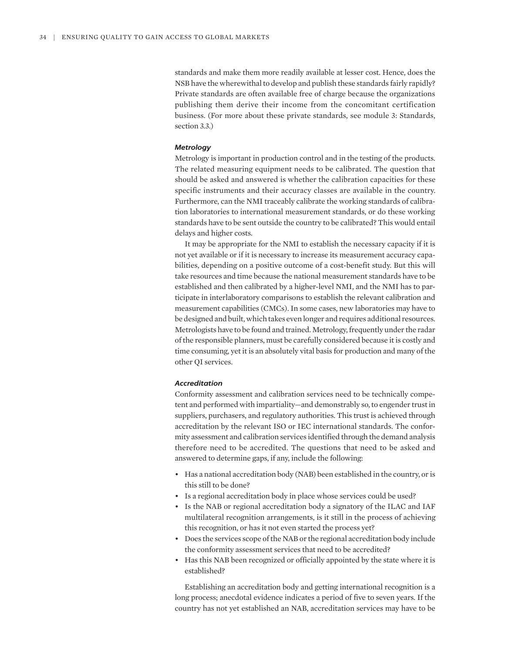standards and make them more readily available at lesser cost. Hence, does the NSB have the wherewithal to develop and publish these standards fairly rapidly? Private standards are often available free of charge because the organizations publishing them derive their income from the concomitant certification business. (For more about these private standards, see module 3: Standards, section 3.3.)

#### *Metrology*

Metrology is important in production control and in the testing of the products. The related measuring equipment needs to be calibrated. The question that should be asked and answered is whether the calibration capacities for these specific instruments and their accuracy classes are available in the country. Furthermore, can the NMI traceably calibrate the working standards of calibration laboratories to international measurement standards, or do these working standards have to be sent outside the country to be calibrated? This would entail delays and higher costs.

It may be appropriate for the NMI to establish the necessary capacity if it is not yet available or if it is necessary to increase its measurement accuracy capabilities, depending on a positive outcome of a cost-benefit study. But this will take resources and time because the national measurement standards have to be established and then calibrated by a higher-level NMI, and the NMI has to participate in interlaboratory comparisons to establish the relevant calibration and measurement capabilities (CMCs). In some cases, new laboratories may have to be designed and built, which takes even longer and requires additional resources. Metrologists have to be found and trained. Metrology, frequently under the radar of the responsible planners, must be carefully considered because it is costly and time consuming, yet it is an absolutely vital basis for production and many of the other QI services.

#### *Accreditation*

Conformity assessment and calibration services need to be technically competent and performed with impartiality—and demonstrably so, to engender trust in suppliers, purchasers, and regulatory authorities. This trust is achieved through accreditation by the relevant ISO or IEC international standards. The conformity assessment and calibration services identified through the demand analysis therefore need to be accredited. The questions that need to be asked and answered to determine gaps, if any, include the following:

- Has a national accreditation body (NAB) been established in the country, or is this still to be done?
- Is a regional accreditation body in place whose services could be used?
- Is the NAB or regional accreditation body a signatory of the ILAC and IAF multilateral recognition arrangements, is it still in the process of achieving this recognition, or has it not even started the process yet?
- Does the services scope of the NAB or the regional accreditation body include the conformity assessment services that need to be accredited?
- Has this NAB been recognized or officially appointed by the state where it is established?

Establishing an accreditation body and getting international recognition is a long process; anecdotal evidence indicates a period of five to seven years. If the country has not yet established an NAB, accreditation services may have to be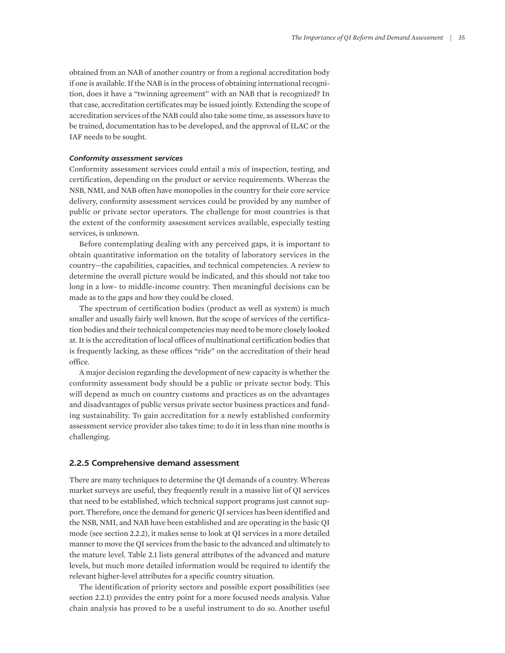obtained from an NAB of another country or from a regional accreditation body if one is available. If the NAB is in the process of obtaining international recognition, does it have a "twinning agreement" with an NAB that is recognized? In that case, accreditation certificates may be issued jointly. Extending the scope of accreditation services of the NAB could also take some time, as assessors have to be trained, documentation has to be developed, and the approval of ILAC or the IAF needs to be sought.

## *Conformity assessment services*

Conformity assessment services could entail a mix of inspection, testing, and certification, depending on the product or service requirements. Whereas the NSB, NMI, and NAB often have monopolies in the country for their core service delivery, conformity assessment services could be provided by any number of public or private sector operators. The challenge for most countries is that the extent of the conformity assessment services available, especially testing services, is unknown.

Before contemplating dealing with any perceived gaps, it is important to obtain quantitative information on the totality of laboratory services in the country—the capabilities, capacities, and technical competencies. A review to determine the overall picture would be indicated, and this should not take too long in a low- to middle-income country. Then meaningful decisions can be made as to the gaps and how they could be closed.

The spectrum of certification bodies (product as well as system) is much smaller and usually fairly well known. But the scope of services of the certification bodies and their technical competencies may need to be more closely looked at. It is the accreditation of local offices of multinational certification bodies that is frequently lacking, as these offices "ride" on the accreditation of their head office.

A major decision regarding the development of new capacity is whether the conformity assessment body should be a public or private sector body. This will depend as much on country customs and practices as on the advantages and disadvantages of public versus private sector business practices and funding sustainability. To gain accreditation for a newly established conformity assessment service provider also takes time; to do it in less than nine months is challenging.

## **2.2.5 Comprehensive demand assessment**

There are many techniques to determine the QI demands of a country. Whereas market surveys are useful, they frequently result in a massive list of QI services that need to be established, which technical support programs just cannot support. Therefore, once the demand for generic QI services has been identified and the NSB, NMI, and NAB have been established and are operating in the basic QI mode (see section 2.2.2), it makes sense to look at QI services in a more detailed manner to move the QI services from the basic to the advanced and ultimately to the mature level. Table 2.1 lists general attributes of the advanced and mature levels, but much more detailed information would be required to identify the relevant higher-level attributes for a specific country situation.

The identification of priority sectors and possible export possibilities (see section 2.2.1) provides the entry point for a more focused needs analysis. Value chain analysis has proved to be a useful instrument to do so. Another useful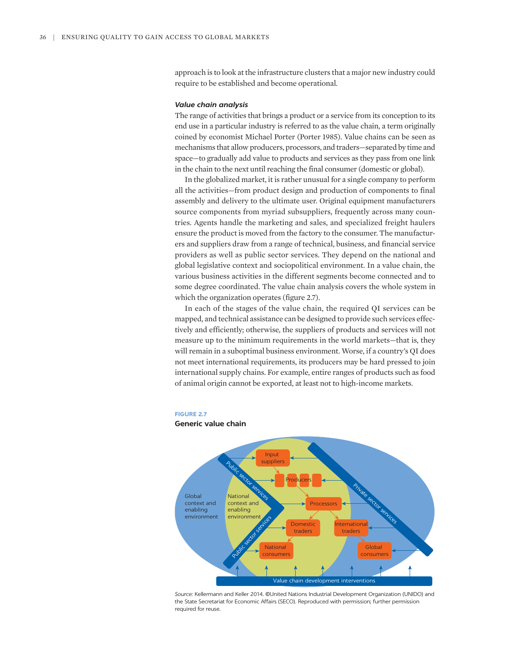approach is to look at the infrastructure clusters that a major new industry could require to be established and become operational.

## *Value chain analysis*

The range of activities that brings a product or a service from its conception to its end use in a particular industry is referred to as the value chain, a term originally coined by economist Michael Porter (Porter 1985). Value chains can be seen as mechanisms that allow producers, processors, and traders—separated by time and space—to gradually add value to products and services as they pass from one link in the chain to the next until reaching the final consumer (domestic or global).

In the globalized market, it is rather unusual for a single company to perform all the activities—from product design and production of components to final assembly and delivery to the ultimate user. Original equipment manufacturers source components from myriad subsuppliers, frequently across many countries. Agents handle the marketing and sales, and specialized freight haulers ensure the product is moved from the factory to the consumer. The manufacturers and suppliers draw from a range of technical, business, and financial service providers as well as public sector services. They depend on the national and global legislative context and sociopolitical environment. In a value chain, the various business activities in the different segments become connected and to some degree coordinated. The value chain analysis covers the whole system in which the organization operates (figure 2.7).

In each of the stages of the value chain, the required QI services can be mapped, and technical assistance can be designed to provide such services effectively and efficiently; otherwise, the suppliers of products and services will not measure up to the minimum requirements in the world markets—that is, they will remain in a suboptimal business environment. Worse, if a country's QI does not meet international requirements, its producers may be hard pressed to join international supply chains. For example, entire ranges of products such as food of animal origin cannot be exported, at least not to high-income markets.

#### **FIGURE 2.7**

#### **Generic value chain**



*Source:* Kellermann and Keller 2014. ©United Nations Industrial Development Organization (UNIDO) and the State Secretariat for Economic Affairs (SECO). Reproduced with permission; further permission required for reuse.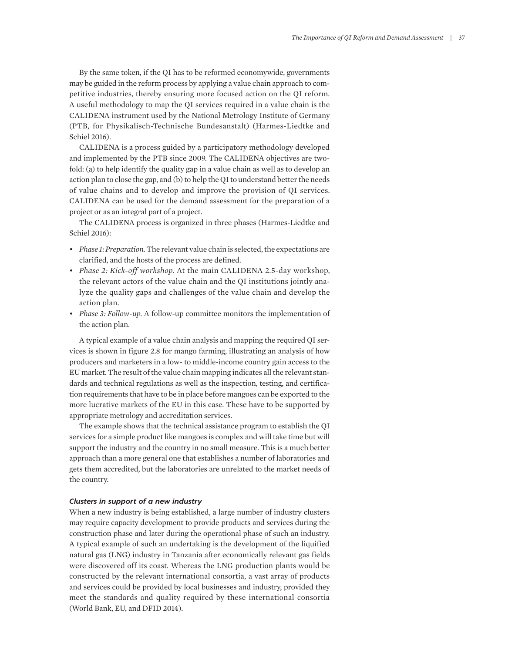By the same token, if the QI has to be reformed economywide, governments may be guided in the reform process by applying a value chain approach to competitive industries, thereby ensuring more focused action on the QI reform. A useful methodology to map the QI services required in a value chain is the CALIDENA instrument used by the National Metrology Institute of Germany (PTB, for Physikalisch-Technische Bundesanstalt) (Harmes-Liedtke and Schiel 2016).

CALIDENA is a process guided by a participatory methodology developed and implemented by the PTB since 2009. The CALIDENA objectives are twofold: (a) to help identify the quality gap in a value chain as well as to develop an action plan to close the gap, and (b) to help the QI to understand better the needs of value chains and to develop and improve the provision of QI services. CALIDENA can be used for the demand assessment for the preparation of a project or as an integral part of a project.

The CALIDENA process is organized in three phases (Harmes-Liedtke and Schiel 2016):

- *Phase 1: Preparation.* The relevant value chain is selected, the expectations are clarified, and the hosts of the process are defined.
- *Phase 2: Kick-off workshop.* At the main CALIDENA 2.5-day workshop, the relevant actors of the value chain and the QI institutions jointly analyze the quality gaps and challenges of the value chain and develop the action plan.
- *Phase 3: Follow-up.* A follow-up committee monitors the implementation of the action plan.

A typical example of a value chain analysis and mapping the required QI services is shown in figure 2.8 for mango farming, illustrating an analysis of how producers and marketers in a low- to middle-income country gain access to the EU market. The result of the value chain mapping indicates all the relevant standards and technical regulations as well as the inspection, testing, and certification requirements that have to be in place before mangoes can be exported to the more lucrative markets of the EU in this case. These have to be supported by appropriate metrology and accreditation services.

The example shows that the technical assistance program to establish the QI services for a simple product like mangoes is complex and will take time but will support the industry and the country in no small measure. This is a much better approach than a more general one that establishes a number of laboratories and gets them accredited, but the laboratories are unrelated to the market needs of the country.

## *Clusters in support of a new industry*

When a new industry is being established, a large number of industry clusters may require capacity development to provide products and services during the construction phase and later during the operational phase of such an industry. A typical example of such an undertaking is the development of the liquified natural gas (LNG) industry in Tanzania after economically relevant gas fields were discovered off its coast. Whereas the LNG production plants would be constructed by the relevant international consortia, a vast array of products and services could be provided by local businesses and industry, provided they meet the standards and quality required by these international consortia (World Bank, EU, and DFID 2014).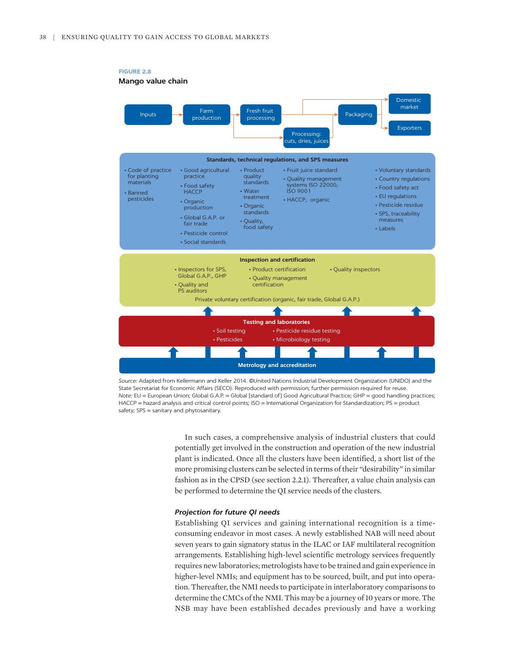

*Source:* Adapted from Kellermann and Keller 2014. ©United Nations Industrial Development Organization (UNIDO) and the State Secretariat for Economic Affairs (SECO). Reproduced with permission; further permission required for reuse. *Note:* EU = European Union; Global G.A.P. = Global [standard of] Good Agricultural Practice; GHP = good handling practices; HACCP = hazard analysis and critical control points; ISO = International Organization for Standardization; PS = product safety; SPS = sanitary and phytosanitary.

In such cases, a comprehensive analysis of industrial clusters that could potentially get involved in the construction and operation of the new industrial plant is indicated. Once all the clusters have been identified, a short list of the more promising clusters can be selected in terms of their "desirability" in similar fashion as in the CPSD (see section 2.2.1). Thereafter, a value chain analysis can be performed to determine the QI service needs of the clusters.

#### *Projection for future QI needs*

Establishing QI services and gaining international recognition is a timeconsuming endeavor in most cases. A newly established NAB will need about seven years to gain signatory status in the ILAC or IAF multilateral recognition arrangements. Establishing high-level scientific metrology services frequently requires new laboratories; metrologists have to be trained and gain experience in higher-level NMIs; and equipment has to be sourced, built, and put into operation. Thereafter, the NMI needs to participate in interlaboratory comparisons to determine the CMCs of the NMI. This may be a journey of 10 years or more. The NSB may have been established decades previously and have a working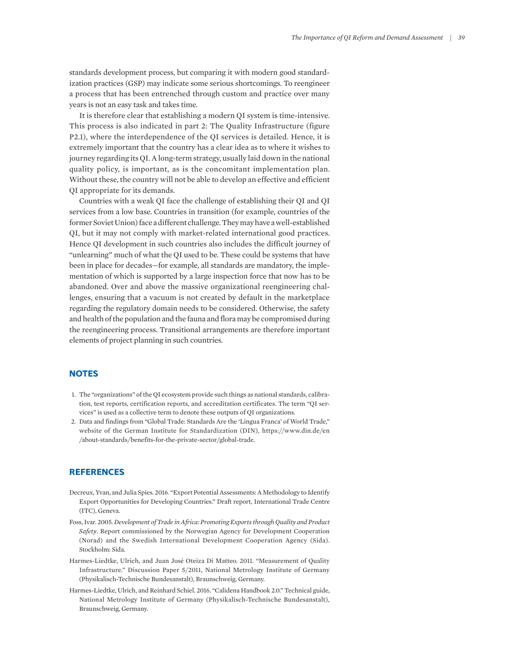standards development process, but comparing it with modern good standardization practices (GSP) may indicate some serious shortcomings. To reengineer a process that has been entrenched through custom and practice over many years is not an easy task and takes time.

It is therefore clear that establishing a modern QI system is time-intensive. This process is also indicated in part 2: The Quality Infrastructure (figure P2.1), where the interdependence of the QI services is detailed. Hence, it is extremely important that the country has a clear idea as to where it wishes to journey regarding its QI. A long-term strategy, usually laid down in the national quality policy, is important, as is the concomitant implementation plan. Without these, the country will not be able to develop an effective and efficient QI appropriate for its demands.

Countries with a weak QI face the challenge of establishing their QI and QI services from a low base. Countries in transition (for example, countries of the former Soviet Union) face a different challenge. They may have a well-established QI, but it may not comply with market-related international good practices. Hence QI development in such countries also includes the difficult journey of "unlearning" much of what the QI used to be. These could be systems that have been in place for decades—for example, all standards are mandatory, the implementation of which is supported by a large inspection force that now has to be abandoned. Over and above the massive organizational reengineering challenges, ensuring that a vacuum is not created by default in the marketplace regarding the regulatory domain needs to be considered. Otherwise, the safety and health of the population and the fauna and flora may be compromised during the reengineering process. Transitional arrangements are therefore important elements of project planning in such countries.

## **NOTES**

- <span id="page-22-0"></span>[1.](#page-0-0) [The "organizations" of the QI ecosystem provide such](#page-0-0) [things as national standards, calibra](#page-0-0)[tion, test reports, certification](#page-0-0) [reports, and accreditation certificates. The](#page-0-0) [term "QI ser](#page-0-0)[vices" is used as](#page-0-0) [a collective term](#page-0-0) [to denote these outputs of QI organizations.](#page-0-0)
- <span id="page-22-1"></span>[2.](#page-2-0) [Data](#page-2-0) [and findings from "Global](#page-2-0) [Trade: Standards Are the 'Lingua Franca' of World Trade,"](#page-2-0)  [website of the](#page-2-0) [German](#page-2-0) [Institute](#page-2-0) [for Standardization](#page-2-0) [\(DIN\),](#page-2-0) [https://www.din.de/en](https://www.din.de/en/about-standards/benefits-for-the-private-sector/global-trade) [/about-standards/benefits-for-the-private-sector/global-trade](https://www.din.de/en/about-standards/benefits-for-the-private-sector/global-trade).

## **REFERENCES**

- Decreux, Yvan, and Julia Spies. 2016. "Export Potential Assessments: A Methodology to Identify Export Opportunities for Developing Countries." Draft report, International Trade Centre (ITC), Geneva.
- Foss, Ivar. 2005. *Development of Trade in Africa: Promoting Exports through Quality and Product Safety*. Report commissioned by the Norwegian Agency for Development Cooperation (Norad) and the Swedish International Development Cooperation Agency (Sida). Stockholm: Sida.
- Harmes-Liedtke, Ulrich, and Juan José Oteiza Di Matteo. 2011. "Measurement of Quality Infrastructure." Discussion Paper 5/2011, National Metrology Institute of Germany (Physikalisch-Technische Bundesanstalt), Braunschweig, Germany.
- Harmes-Liedtke, Ulrich, and Reinhard Schiel. 2016. "Calidena Handbook 2.0." Technical guide, National Metrology Institute of Germany (Physikalisch-Technische Bundesanstalt), Braunschweig, Germany.